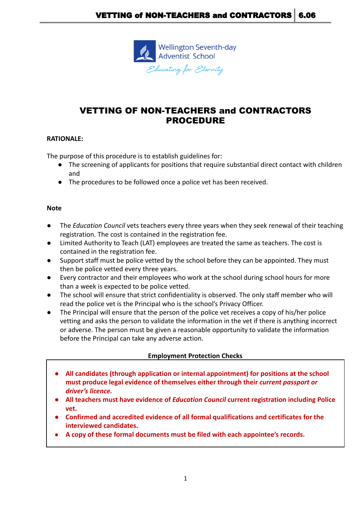

# VETTING OF NON-TEACHERS and CONTRACTORS PROCEDURE

# **RATIONALE:**

The purpose of this procedure is to establish guidelines for:

- The screening of applicants for positions that require substantial direct contact with children and
- The procedures to be followed once a police vet has been received.

# **Note**

- The *Education Council* vets teachers every three years when they seek renewal of their teaching registration. The cost is contained in the registration fee.
- Limited Authority to Teach (LAT) employees are treated the same as teachers. The cost is contained in the registration fee.
- Support staff must be police vetted by the school before they can be appointed. They must then be police vetted every three years.
- Every contractor and their employees who work at the school during school hours for more than a week is expected to be police vetted.
- The school will ensure that strict confidentiality is observed. The only staff member who will read the police vet is the Principal who is the school's Privacy Officer.
- The Principal will ensure that the person of the police vet receives a copy of his/her police vetting and asks the person to validate the information in the vet if there is anything incorrect or adverse. The person must be given a reasonable opportunity to validate the information before the Principal can take any adverse action.

# **Employment Protection Checks**

- *●* **All candidates (through application or internal appointment) for positions at the school must produce legal evidence of themselves either through their** *current passport or driver's licence.*
- *●* **All teachers must have evidence of** *Education Council* **current registration including Police vet.**
- *●* **Confirmed and accredited evidence of all formal qualifications and certificates for the interviewed candidates.**
- **● A copy of these formal documents must be filed with each appointee's records.**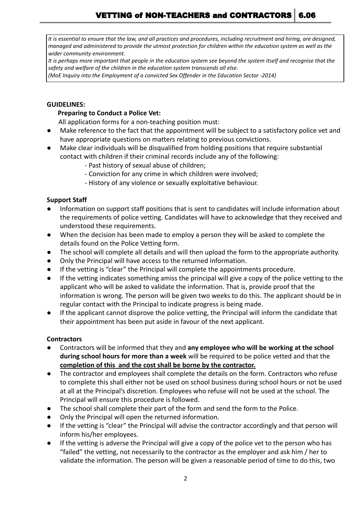It is essential to ensure that the law, and all practices and procedures, including recruitment and hiring, are designed, mangged and administered to provide the utmost protection for children within the education system as well as the *wider community environment.*

It is perhaps more important that people in the education system see beyond the system itself and recognise that the *safety and welfare of the children in the education system transcends all else.*

*(MoE Inquiry into the Employment of a convicted Sex Offender in the Education Sector -2014)*

#### **GUIDELINES:**

#### **Preparing to Conduct a Police Vet:**

All application forms for a non-teaching position must:

- Make reference to the fact that the appointment will be subject to a satisfactory police vet and have appropriate questions on matters relating to previous convictions.
- Make clear individuals will be disqualified from holding positions that require substantial contact with children if their criminal records include any of the following:
	- Past history of sexual abuse of children;
	- Conviction for any crime in which children were involved;
	- History of any violence or sexually exploitative behaviour.

#### **Support Staff**

- Information on support staff positions that is sent to candidates will include information about the requirements of police vetting. Candidates will have to acknowledge that they received and understood these requirements.
- When the decision has been made to employ a person they will be asked to complete the details found on the Police Vetting form.
- The school will complete all details and will then upload the form to the appropriate authority.
- Only the Principal will have access to the returned information.
- If the vetting is "clear" the Principal will complete the appointments procedure.
- If the vetting indicates something amiss the principal will give a copy of the police vetting to the applicant who will be asked to validate the information. That is, provide proof that the information is wrong. The person will be given two weeks to do this. The applicant should be in regular contact with the Principal to indicate progress is being made.
- If the applicant cannot disprove the police vetting, the Principal will inform the candidate that their appointment has been put aside in favour of the next applicant.

#### **Contractors**

- **●** Contractors will be informed that they and **any employee who will be working at the school during school hours for more than a week** will be required to be police vetted and that the **completion of this and the cost shall be borne by the contractor.**
- The contractor and employees shall complete the details on the form. Contractors who refuse to complete this shall either not be used on school business during school hours or not be used at all at the Principal's discretion. Employees who refuse will not be used at the school. The Principal will ensure this procedure is followed.
- The school shall complete their part of the form and send the form to the Police.
- Only the Principal will open the returned information.
- If the vetting is "clear" the Principal will advise the contractor accordingly and that person will inform his/her employees.
- If the vetting is adverse the Principal will give a copy of the police vet to the person who has "failed" the vetting, not necessarily to the contractor as the employer and ask him / her to validate the information. The person will be given a reasonable period of time to do this, two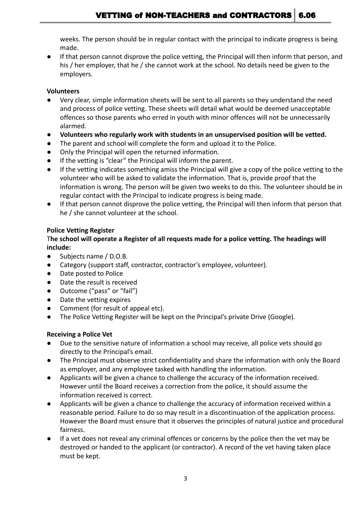weeks. The person should be in regular contact with the principal to indicate progress is being made.

If that person cannot disprove the police vetting, the Principal will then inform that person, and his / her employer, that he / she cannot work at the school. No details need be given to the employers.

# **Volunteers**

- Very clear, simple information sheets will be sent to all parents so they understand the need and process of police vetting. These sheets will detail what would be deemed unacceptable offences so those parents who erred in youth with minor offences will not be unnecessarily alarmed.
- **● Volunteers who regularly work with students in an unsupervised position will be vetted.**
- The parent and school will complete the form and upload it to the Police.
- Only the Principal will open the returned information.
- If the vetting is "clear" the Principal will inform the parent.
- If the vetting indicates something amiss the Principal will give a copy of the police vetting to the volunteer who will be asked to validate the information. That is, provide proof that the information is wrong. The person will be given two weeks to do this. The volunteer should be in regular contact with the Principal to indicate progress is being made.
- If that person cannot disprove the police vetting, the Principal will then inform that person that he / she cannot volunteer at the school.

# **Police Vetting Register**

# T**he school will operate a Register of all requests made for a police vetting. The headings will include:**

- Subjects name / D.O.B.
- Category (support staff, contractor, contractor's employee, volunteer).
- Date posted to Police
- Date the result is received
- Outcome ("pass" or "fail")
- Date the vetting expires
- Comment (for result of appeal etc).
- The Police Vetting Register will be kept on the Principal's private Drive (Google).

# **Receiving a Police Vet**

- Due to the sensitive nature of information a school may receive, all police vets should go directly to the Principal's email.
- The Principal must observe strict confidentiality and share the information with only the Board as employer, and any employee tasked with handling the information.
- Applicants will be given a chance to challenge the accuracy of the information received. However until the Board receives a correction from the police, it should assume the information received is correct.
- Applicants will be given a chance to challenge the accuracy of information received within a reasonable period. Failure to do so may result in a discontinuation of the application process. However the Board must ensure that it observes the principles of natural justice and procedural fairness.
- If a vet does not reveal any criminal offences or concerns by the police then the vet may be destroyed or handed to the applicant (or contractor). A record of the vet having taken place must be kept.